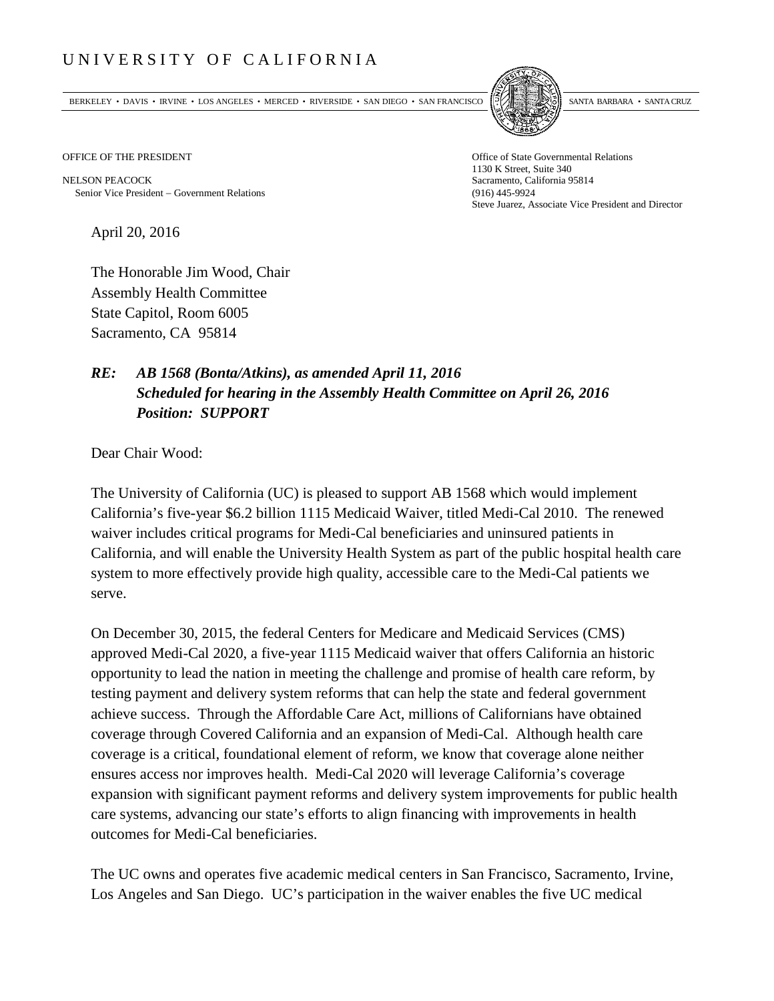## UNIVERSITY OF CALIFORNIA

BERKELEY • DAVIS • IRVINE • LOS ANGELES • MERCED • RIVERSIDE • SAN DIEGO • SAN FRANCISCO [5] SANTA BARBARA • SANTA CRUZ



OFFICE OF THE PRESIDENT STATES OF THE PRESIDENT

NELSON PEACOCK Sacramento, California 95814 Senior Vice President − Government Relations (916) 445-9924

1130 K Street, Suite 340 Steve Juarez, Associate Vice President and Director

April 20, 2016

The Honorable Jim Wood, Chair Assembly Health Committee State Capitol, Room 6005 Sacramento, CA 95814

## *RE: AB 1568 (Bonta/Atkins), as amended April 11, 2016 Scheduled for hearing in the Assembly Health Committee on April 26, 2016 Position: SUPPORT*

Dear Chair Wood:

The University of California (UC) is pleased to support AB 1568 which would implement California's five-year \$6.2 billion 1115 Medicaid Waiver, titled Medi-Cal 2010. The renewed waiver includes critical programs for Medi-Cal beneficiaries and uninsured patients in California, and will enable the University Health System as part of the public hospital health care system to more effectively provide high quality, accessible care to the Medi-Cal patients we serve.

On December 30, 2015, the federal Centers for Medicare and Medicaid Services (CMS) approved Medi-Cal 2020, a five-year 1115 Medicaid waiver that offers California an historic opportunity to lead the nation in meeting the challenge and promise of health care reform, by testing payment and delivery system reforms that can help the state and federal government achieve success. Through the Affordable Care Act, millions of Californians have obtained coverage through Covered California and an expansion of Medi-Cal. Although health care coverage is a critical, foundational element of reform, we know that coverage alone neither ensures access nor improves health. Medi-Cal 2020 will leverage California's coverage expansion with significant payment reforms and delivery system improvements for public health care systems, advancing our state's efforts to align financing with improvements in health outcomes for Medi-Cal beneficiaries.

The UC owns and operates five academic medical centers in San Francisco, Sacramento, Irvine, Los Angeles and San Diego. UC's participation in the waiver enables the five UC medical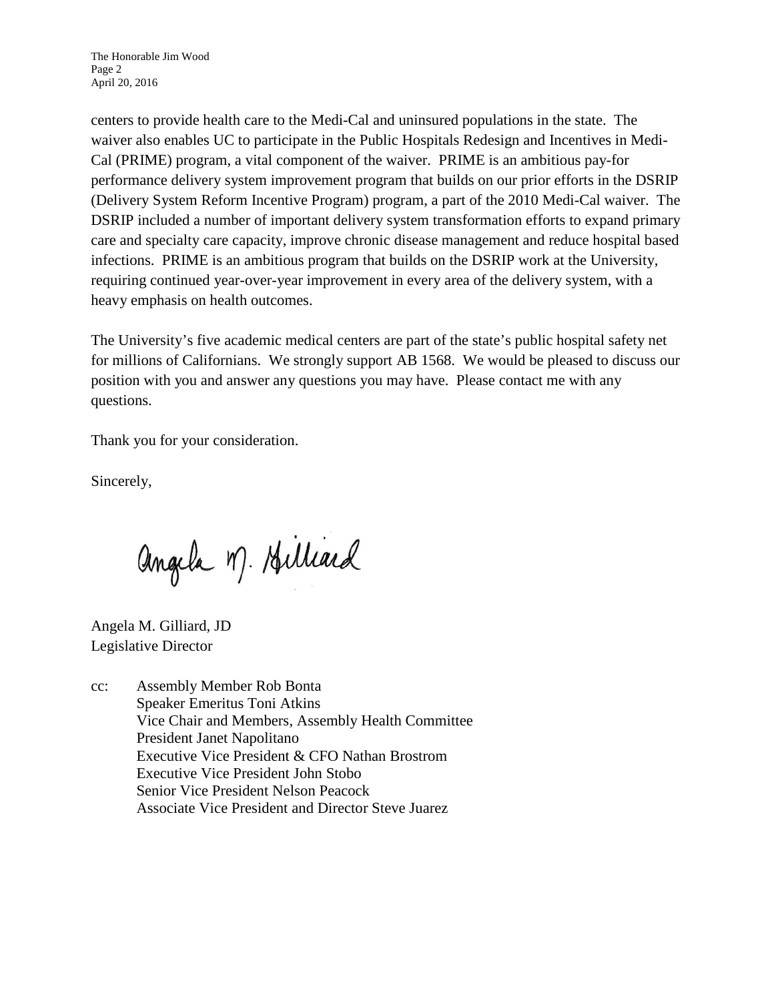centers to provide health care to the Medi-Cal and uninsured populations in the state. The waiver also enables UC to participate in the Public Hospitals Redesign and Incentives in Medi-Cal (PRIME) program, a vital component of the waiver. PRIME is an ambitious pay-for performance delivery system improvement program that builds on our prior efforts in the DSRIP (Delivery System Reform Incentive Program) program, a part of the 2010 Medi-Cal waiver. The DSRIP included a number of important delivery system transformation efforts to expand primary care and specialty care capacity, improve chronic disease management and reduce hospital based infections. PRIME is an ambitious program that builds on the DSRIP work at the University, requiring continued year-over-year improvement in every area of the delivery system, with a heavy emphasis on health outcomes.

The University's five academic medical centers are part of the state's public hospital safety net for millions of Californians. We strongly support AB 1568. We would be pleased to discuss our position with you and answer any questions you may have. Please contact me with any questions.

Thank you for your consideration.

Sincerely,

angela M. Hilliard

Angela M. Gilliard, JD Legislative Director

cc: Assembly Member Rob Bonta Speaker Emeritus Toni Atkins Vice Chair and Members, Assembly Health Committee President Janet Napolitano Executive Vice President & CFO Nathan Brostrom Executive Vice President John Stobo Senior Vice President Nelson Peacock Associate Vice President and Director Steve Juarez